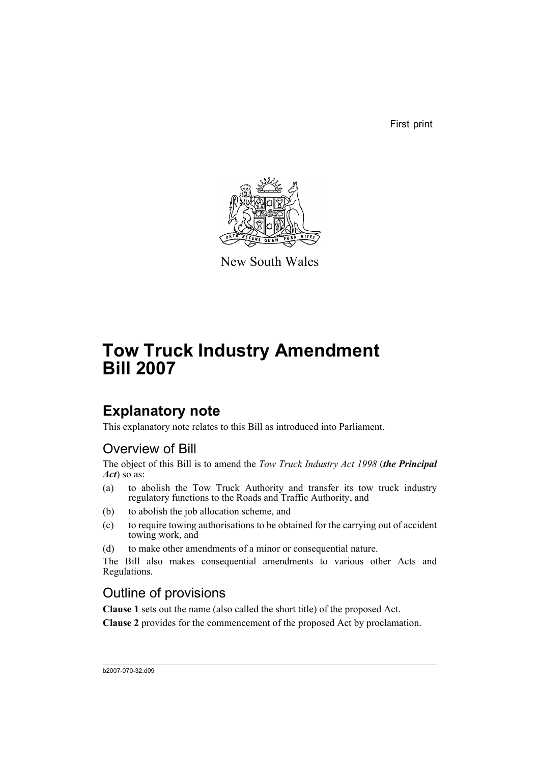First print



New South Wales

# **Tow Truck Industry Amendment Bill 2007**

# **Explanatory note**

This explanatory note relates to this Bill as introduced into Parliament.

# Overview of Bill

The object of this Bill is to amend the *Tow Truck Industry Act 1998* (*the Principal Act*) so as:

- (a) to abolish the Tow Truck Authority and transfer its tow truck industry regulatory functions to the Roads and Traffic Authority, and
- (b) to abolish the job allocation scheme, and
- (c) to require towing authorisations to be obtained for the carrying out of accident towing work, and
- (d) to make other amendments of a minor or consequential nature.

The Bill also makes consequential amendments to various other Acts and Regulations.

# Outline of provisions

**Clause 1** sets out the name (also called the short title) of the proposed Act.

**Clause 2** provides for the commencement of the proposed Act by proclamation.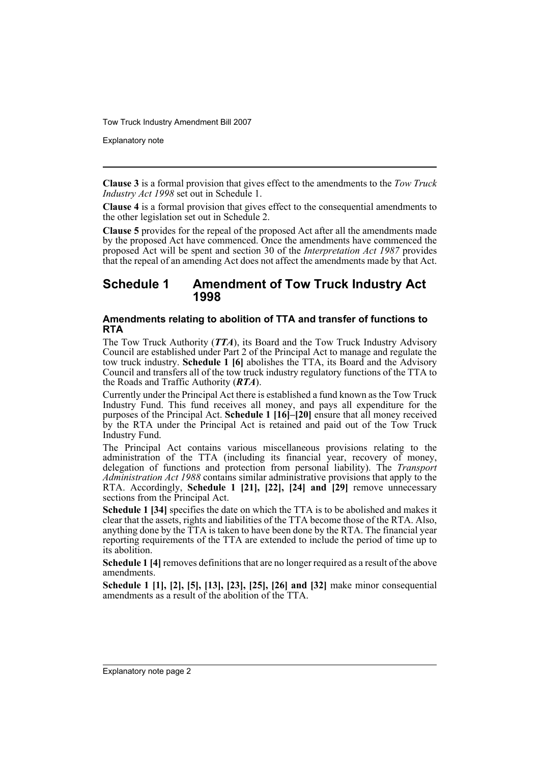Explanatory note

**Clause 3** is a formal provision that gives effect to the amendments to the *Tow Truck Industry Act 1998* set out in Schedule 1.

**Clause 4** is a formal provision that gives effect to the consequential amendments to the other legislation set out in Schedule 2.

**Clause 5** provides for the repeal of the proposed Act after all the amendments made by the proposed Act have commenced. Once the amendments have commenced the proposed Act will be spent and section 30 of the *Interpretation Act 1987* provides that the repeal of an amending Act does not affect the amendments made by that Act.

## **Schedule 1 Amendment of Tow Truck Industry Act 1998**

## **Amendments relating to abolition of TTA and transfer of functions to RTA**

The Tow Truck Authority (*TTA*), its Board and the Tow Truck Industry Advisory Council are established under Part 2 of the Principal Act to manage and regulate the tow truck industry. **Schedule 1 [6]** abolishes the TTA, its Board and the Advisory Council and transfers all of the tow truck industry regulatory functions of the TTA to the Roads and Traffic Authority (*RTA*).

Currently under the Principal Act there is established a fund known as the Tow Truck Industry Fund. This fund receives all money, and pays all expenditure for the purposes of the Principal Act. **Schedule 1 [16]–[20]** ensure that all money received by the RTA under the Principal Act is retained and paid out of the Tow Truck Industry Fund.

The Principal Act contains various miscellaneous provisions relating to the administration of the TTA (including its financial year, recovery of money, delegation of functions and protection from personal liability). The *Transport Administration Act 1988* contains similar administrative provisions that apply to the RTA. Accordingly, **Schedule 1 [21], [22], [24] and [29]** remove unnecessary sections from the Principal Act.

**Schedule 1 [34]** specifies the date on which the TTA is to be abolished and makes it clear that the assets, rights and liabilities of the TTA become those of the RTA. Also, anything done by the TTA is taken to have been done by the RTA. The financial year reporting requirements of the TTA are extended to include the period of time up to its abolition.

**Schedule 1 [4]** removes definitions that are no longer required as a result of the above amendments.

**Schedule 1 [1], [2], [5], [13], [23], [25], [26] and [32]** make minor consequential amendments as a result of the abolition of the TTA.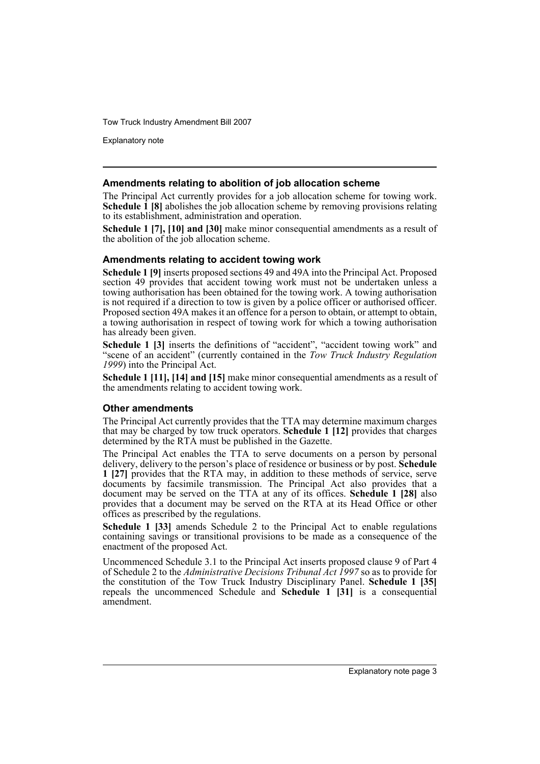Explanatory note

### **Amendments relating to abolition of job allocation scheme**

The Principal Act currently provides for a job allocation scheme for towing work. **Schedule 1 [8]** abolishes the job allocation scheme by removing provisions relating to its establishment, administration and operation.

**Schedule 1 [7], [10] and [30]** make minor consequential amendments as a result of the abolition of the job allocation scheme.

#### **Amendments relating to accident towing work**

**Schedule 1 [9]** inserts proposed sections 49 and 49A into the Principal Act. Proposed section 49 provides that accident towing work must not be undertaken unless a towing authorisation has been obtained for the towing work. A towing authorisation is not required if a direction to tow is given by a police officer or authorised officer. Proposed section 49A makes it an offence for a person to obtain, or attempt to obtain, a towing authorisation in respect of towing work for which a towing authorisation has already been given.

**Schedule 1 [3]** inserts the definitions of "accident", "accident towing work" and "scene of an accident" (currently contained in the *Tow Truck Industry Regulation 1999*) into the Principal Act.

**Schedule 1 [11], [14] and [15]** make minor consequential amendments as a result of the amendments relating to accident towing work.

#### **Other amendments**

The Principal Act currently provides that the TTA may determine maximum charges that may be charged by tow truck operators. **Schedule 1 [12]** provides that charges determined by the RTA must be published in the Gazette.

The Principal Act enables the TTA to serve documents on a person by personal delivery, delivery to the person's place of residence or business or by post. **Schedule 1 [27]** provides that the RTA may, in addition to these methods of service, serve documents by facsimile transmission. The Principal Act also provides that a document may be served on the TTA at any of its offices. **Schedule 1 [28]** also provides that a document may be served on the RTA at its Head Office or other offices as prescribed by the regulations.

**Schedule 1 [33]** amends Schedule 2 to the Principal Act to enable regulations containing savings or transitional provisions to be made as a consequence of the enactment of the proposed Act.

Uncommenced Schedule 3.1 to the Principal Act inserts proposed clause 9 of Part 4 of Schedule 2 to the *Administrative Decisions Tribunal Act 1997* so as to provide for the constitution of the Tow Truck Industry Disciplinary Panel. **Schedule 1 [35]** repeals the uncommenced Schedule and **Schedule 1 [31]** is a consequential amendment.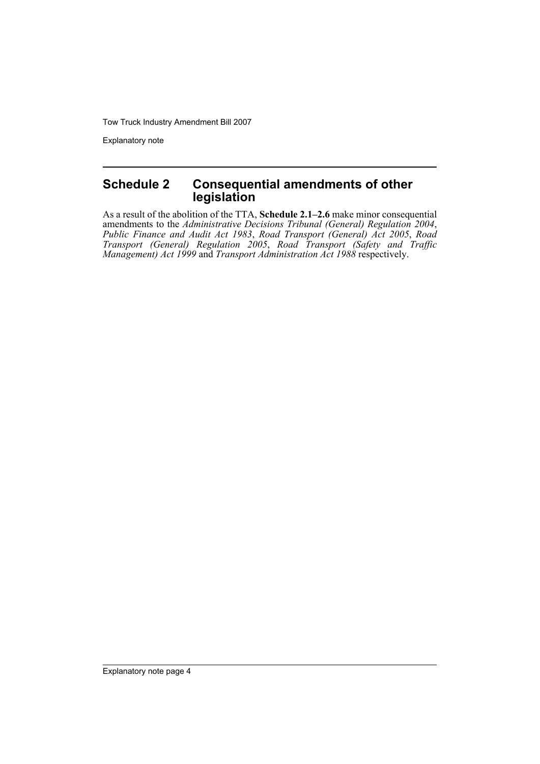Explanatory note

# **Schedule 2 Consequential amendments of other legislation**

As a result of the abolition of the TTA, **Schedule 2.1–2.6** make minor consequential amendments to the *Administrative Decisions Tribunal (General) Regulation 2004*, *Public Finance and Audit Act 1983*, *Road Transport (General) Act 2005*, *Road Transport (General) Regulation 2005*, *Road Transport (Safety and Traffic Management) Act 1999* and *Transport Administration Act 1988* respectively.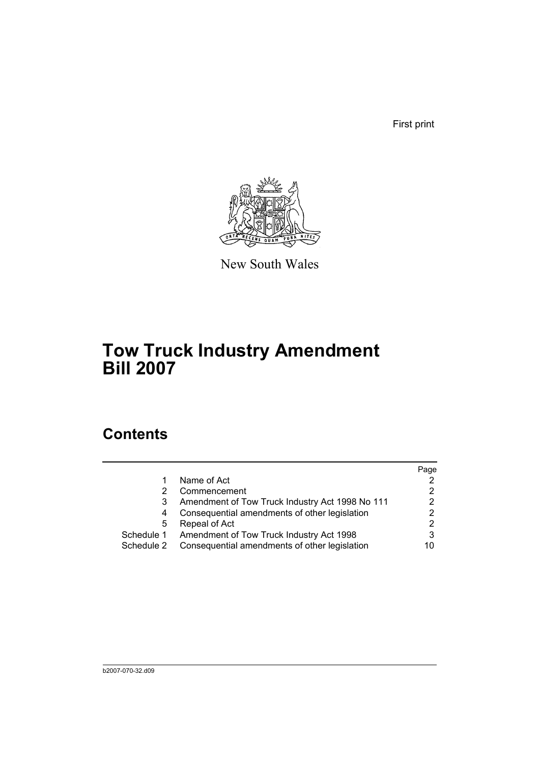First print



New South Wales

# **Tow Truck Industry Amendment Bill 2007**

# **Contents**

|            |                                                 | Page |
|------------|-------------------------------------------------|------|
|            | Name of Act                                     |      |
|            | Commencement                                    |      |
| 3          | Amendment of Tow Truck Industry Act 1998 No 111 | 2    |
| 4          | Consequential amendments of other legislation   | 2    |
| 5          | Repeal of Act                                   | 2    |
| Schedule 1 | Amendment of Tow Truck Industry Act 1998        |      |
| Schedule 2 | Consequential amendments of other legislation   | 10   |
|            |                                                 |      |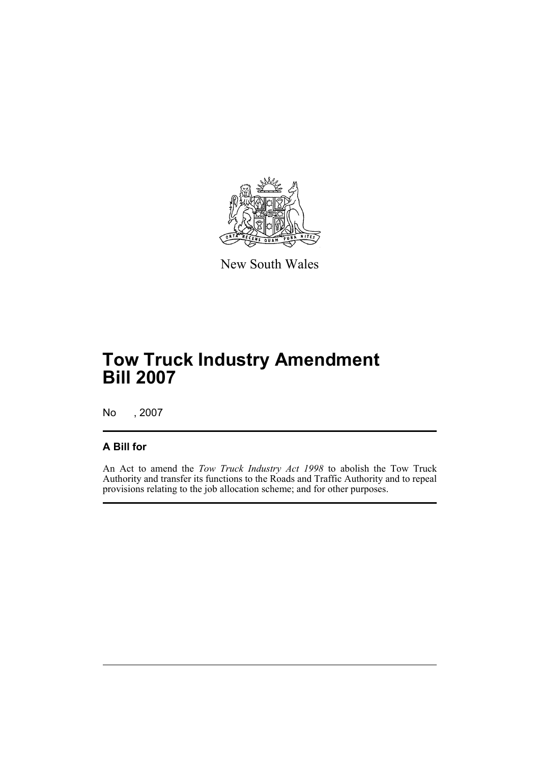

New South Wales

# **Tow Truck Industry Amendment Bill 2007**

No , 2007

# **A Bill for**

An Act to amend the *Tow Truck Industry Act 1998* to abolish the Tow Truck Authority and transfer its functions to the Roads and Traffic Authority and to repeal provisions relating to the job allocation scheme; and for other purposes.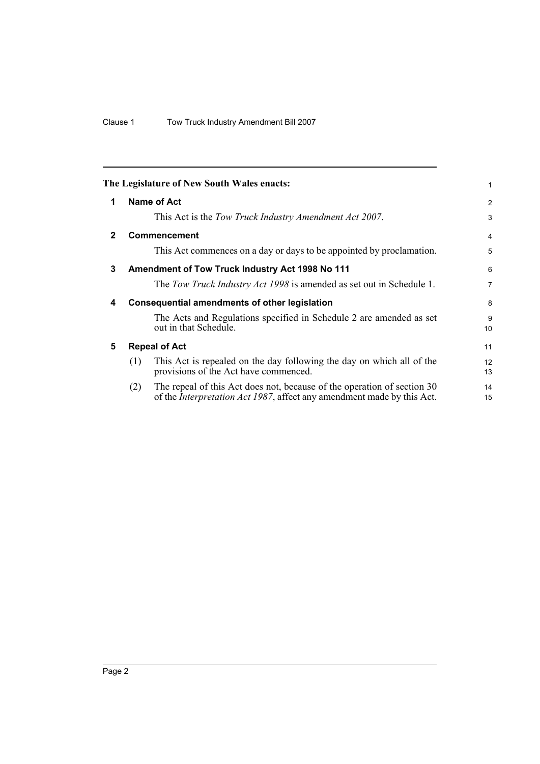<span id="page-7-4"></span><span id="page-7-3"></span><span id="page-7-2"></span><span id="page-7-1"></span><span id="page-7-0"></span>

|              |     | The Legislature of New South Wales enacts:                                                                                                                | 1              |
|--------------|-----|-----------------------------------------------------------------------------------------------------------------------------------------------------------|----------------|
| 1            |     | Name of Act                                                                                                                                               | 2              |
|              |     | This Act is the Tow Truck Industry Amendment Act 2007.                                                                                                    | 3              |
| $\mathbf{2}$ |     | Commencement                                                                                                                                              | $\overline{4}$ |
|              |     | This Act commences on a day or days to be appointed by proclamation.                                                                                      | 5              |
| 3            |     | Amendment of Tow Truck Industry Act 1998 No 111                                                                                                           | 6              |
|              |     | The Tow Truck Industry Act 1998 is amended as set out in Schedule 1.                                                                                      | $\overline{7}$ |
| 4            |     | <b>Consequential amendments of other legislation</b>                                                                                                      | 8              |
|              |     | The Acts and Regulations specified in Schedule 2 are amended as set<br>out in that Schedule.                                                              | 9<br>10        |
| 5            |     | <b>Repeal of Act</b>                                                                                                                                      | 11             |
|              | (1) | This Act is repealed on the day following the day on which all of the<br>provisions of the Act have commenced.                                            | 12<br>13       |
|              | (2) | The repeal of this Act does not, because of the operation of section 30<br>of the <i>Interpretation Act 1987</i> , affect any amendment made by this Act. | 14<br>15       |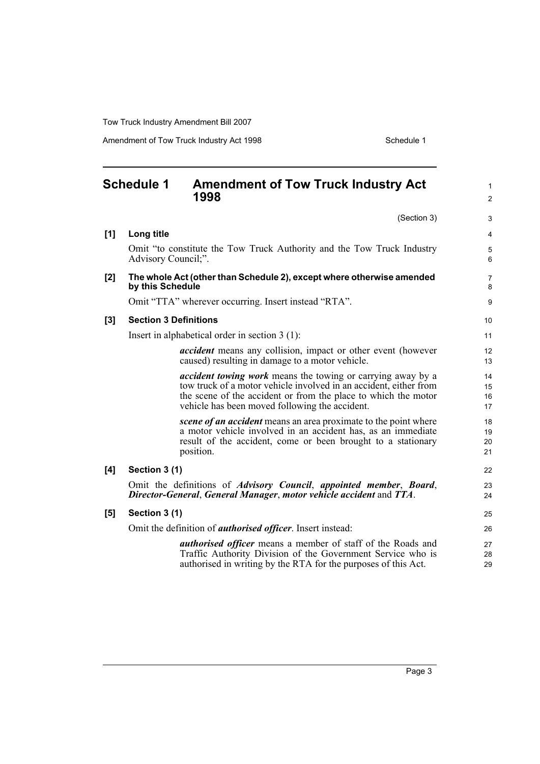Amendment of Tow Truck Industry Act 1998 Schedule 1

<span id="page-8-0"></span>

|     | <b>Schedule 1</b><br><b>Amendment of Tow Truck Industry Act</b>                                                                                                                                                                                             | $\mathbf{1}$         |
|-----|-------------------------------------------------------------------------------------------------------------------------------------------------------------------------------------------------------------------------------------------------------------|----------------------|
|     | 1998                                                                                                                                                                                                                                                        | $\overline{2}$       |
|     | (Section 3)                                                                                                                                                                                                                                                 | 3                    |
| [1] | Long title                                                                                                                                                                                                                                                  | $\overline{4}$       |
|     | Omit "to constitute the Tow Truck Authority and the Tow Truck Industry<br>Advisory Council;".                                                                                                                                                               | $\mathbf 5$<br>6     |
| [2] | The whole Act (other than Schedule 2), except where otherwise amended<br>by this Schedule                                                                                                                                                                   | $\overline{7}$<br>8  |
|     | Omit "TTA" wherever occurring. Insert instead "RTA".                                                                                                                                                                                                        | 9                    |
| [3] | <b>Section 3 Definitions</b>                                                                                                                                                                                                                                | 10                   |
|     | Insert in alphabetical order in section $3(1)$ :                                                                                                                                                                                                            | 11                   |
|     | <i>accident</i> means any collision, impact or other event (however<br>caused) resulting in damage to a motor vehicle.                                                                                                                                      | 12<br>13             |
|     | <i>accident towing work</i> means the towing or carrying away by a<br>tow truck of a motor vehicle involved in an accident, either from<br>the scene of the accident or from the place to which the motor<br>vehicle has been moved following the accident. | 14<br>15<br>16<br>17 |
|     | scene of an accident means an area proximate to the point where<br>a motor vehicle involved in an accident has, as an immediate<br>result of the accident, come or been brought to a stationary<br>position.                                                | 18<br>19<br>20<br>21 |
| [4] | Section 3 (1)                                                                                                                                                                                                                                               | 22                   |
|     | Omit the definitions of <i>Advisory Council</i> , <i>appointed member</i> , <i>Board</i> ,<br>Director-General, General Manager, motor vehicle accident and TTA.                                                                                            | 23<br>24             |
| [5] | Section 3 (1)                                                                                                                                                                                                                                               | 25                   |
|     | Omit the definition of <i>authorised officer</i> . Insert instead:                                                                                                                                                                                          | 26                   |
|     | <i>authorised officer</i> means a member of staff of the Roads and<br>Traffic Authority Division of the Government Service who is<br>authorised in writing by the RTA for the purposes of this Act.                                                         | 27<br>28<br>29       |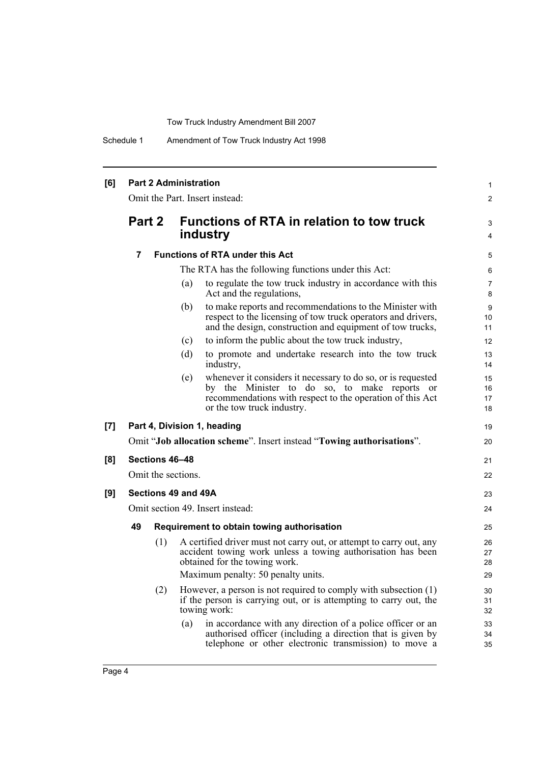Schedule 1 Amendment of Tow Truck Industry Act 1998

| [6] |                |                | <b>Part 2 Administration</b> |                                                                                                                                                                                                         | 1                    |
|-----|----------------|----------------|------------------------------|---------------------------------------------------------------------------------------------------------------------------------------------------------------------------------------------------------|----------------------|
|     |                |                |                              | Omit the Part. Insert instead:                                                                                                                                                                          | 2                    |
|     | Part 2         |                |                              | <b>Functions of RTA in relation to tow truck</b><br>industry                                                                                                                                            | 3<br>4               |
|     | $\overline{7}$ |                |                              | <b>Functions of RTA under this Act</b>                                                                                                                                                                  | 5                    |
|     |                |                |                              | The RTA has the following functions under this Act:                                                                                                                                                     | 6                    |
|     |                |                | (a)                          | to regulate the tow truck industry in accordance with this<br>Act and the regulations,                                                                                                                  | 7<br>8               |
|     |                |                | (b)                          | to make reports and recommendations to the Minister with<br>respect to the licensing of tow truck operators and drivers,<br>and the design, construction and equipment of tow trucks,                   | 9<br>10<br>11        |
|     |                |                | (c)                          | to inform the public about the tow truck industry,                                                                                                                                                      | 12                   |
|     |                |                | (d)                          | to promote and undertake research into the tow truck<br>industry,                                                                                                                                       | 13<br>14             |
|     |                |                | (e)                          | whenever it considers it necessary to do so, or is requested<br>by the Minister to do so, to make reports or<br>recommendations with respect to the operation of this Act<br>or the tow truck industry. | 15<br>16<br>17<br>18 |
| [7] |                |                |                              | Part 4, Division 1, heading                                                                                                                                                                             | 19                   |
|     |                |                |                              | Omit "Job allocation scheme". Insert instead "Towing authorisations".                                                                                                                                   | 20                   |
| [8] |                | Sections 46-48 |                              |                                                                                                                                                                                                         | 21                   |
|     |                |                | Omit the sections.           |                                                                                                                                                                                                         | 22                   |
| [9] |                |                | Sections 49 and 49A          |                                                                                                                                                                                                         | 23                   |
|     |                |                |                              | Omit section 49. Insert instead:                                                                                                                                                                        | 24                   |
|     | 49             |                |                              | Requirement to obtain towing authorisation                                                                                                                                                              | 25                   |
|     |                | (1)            |                              | A certified driver must not carry out, or attempt to carry out, any<br>accident towing work unless a towing authorisation has been<br>obtained for the towing work.                                     | 26<br>27<br>28       |
|     |                |                |                              | Maximum penalty: 50 penalty units.                                                                                                                                                                      | 29                   |
|     |                | (2)            |                              | However, a person is not required to comply with subsection $(1)$<br>if the person is carrying out, or is attempting to carry out, the<br>towing work:                                                  | 30<br>31<br>32       |
|     |                |                | (a)                          | in accordance with any direction of a police officer or an<br>authorised officer (including a direction that is given by<br>telephone or other electronic transmission) to move a                       | 33<br>34<br>35       |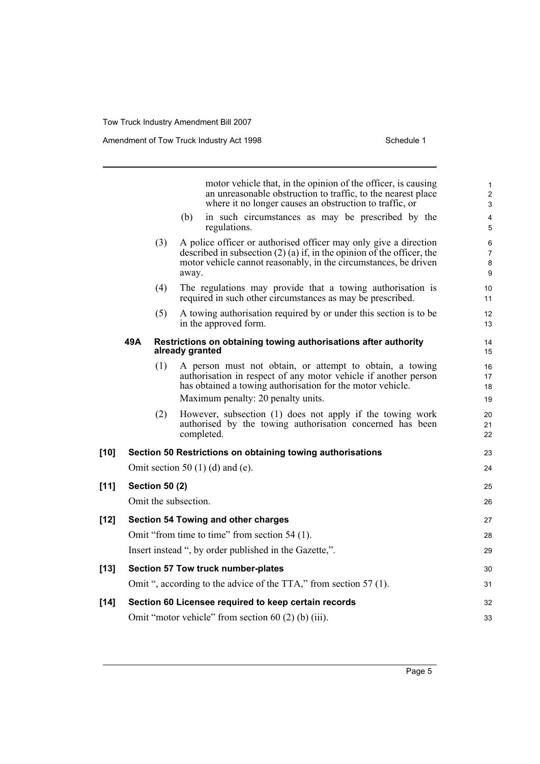|        |     |                       |                      | motor vehicle that, in the opinion of the officer, is causing<br>an unreasonable obstruction to traffic, to the nearest place<br>where it no longer causes an obstruction to traffic, or                         | $\mathbf{1}$<br>$\overline{\mathbf{c}}$<br>3 |
|--------|-----|-----------------------|----------------------|------------------------------------------------------------------------------------------------------------------------------------------------------------------------------------------------------------------|----------------------------------------------|
|        |     |                       | (b)                  | in such circumstances as may be prescribed by the<br>regulations.                                                                                                                                                | 4<br>5                                       |
|        |     | (3)                   | away.                | A police officer or authorised officer may only give a direction<br>described in subsection $(2)$ (a) if, in the opinion of the officer, the<br>motor vehicle cannot reasonably, in the circumstances, be driven | 6<br>$\overline{7}$<br>8<br>9                |
|        |     | (4)                   |                      | The regulations may provide that a towing authorisation is<br>required in such other circumstances as may be prescribed.                                                                                         | 10<br>11                                     |
|        |     | (5)                   |                      | A towing authorisation required by or under this section is to be<br>in the approved form.                                                                                                                       | 12<br>13                                     |
|        | 49A |                       | already granted      | Restrictions on obtaining towing authorisations after authority                                                                                                                                                  | 14<br>15                                     |
|        |     | (1)                   |                      | A person must not obtain, or attempt to obtain, a towing<br>authorisation in respect of any motor vehicle if another person<br>has obtained a towing authorisation for the motor vehicle.                        | 16<br>17<br>18                               |
|        |     | (2)                   |                      | Maximum penalty: 20 penalty units.<br>However, subsection (1) does not apply if the towing work<br>authorised by the towing authorisation concerned has been<br>completed.                                       | 19<br>20<br>21<br>22                         |
| $[10]$ |     |                       |                      | Section 50 Restrictions on obtaining towing authorisations                                                                                                                                                       | 23                                           |
|        |     |                       |                      | Omit section 50 $(1)$ (d) and (e).                                                                                                                                                                               | 24                                           |
| $[11]$ |     | <b>Section 50 (2)</b> |                      |                                                                                                                                                                                                                  | 25                                           |
|        |     |                       | Omit the subsection. |                                                                                                                                                                                                                  | 26                                           |
| $[12]$ |     |                       |                      | <b>Section 54 Towing and other charges</b>                                                                                                                                                                       | 27                                           |
|        |     |                       |                      | Omit "from time to time" from section 54 (1).                                                                                                                                                                    | 28                                           |
|        |     |                       |                      | Insert instead ", by order published in the Gazette,".                                                                                                                                                           | 29                                           |
| $[13]$ |     |                       |                      | Section 57 Tow truck number-plates                                                                                                                                                                               | 30                                           |
|        |     |                       |                      | Omit ", according to the advice of the TTA," from section 57 (1).                                                                                                                                                | 31                                           |
| $[14]$ |     |                       |                      | Section 60 Licensee required to keep certain records                                                                                                                                                             | 32                                           |
|        |     |                       |                      | Omit "motor vehicle" from section $60(2)$ (b) (iii).                                                                                                                                                             | 33                                           |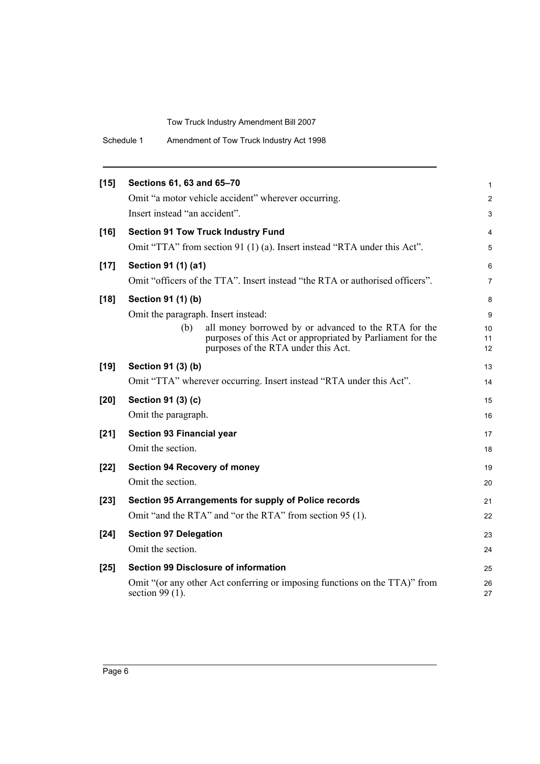| Schedule 1 | Amendment of Tow Truck Industry Act 1998 |  |
|------------|------------------------------------------|--|
|------------|------------------------------------------|--|

| $[15]$ | Sections 61, 63 and 65-70                                                                                                                                        | 1              |
|--------|------------------------------------------------------------------------------------------------------------------------------------------------------------------|----------------|
|        | Omit "a motor vehicle accident" wherever occurring.                                                                                                              | 2              |
|        | Insert instead "an accident".                                                                                                                                    | 3              |
| $[16]$ | <b>Section 91 Tow Truck Industry Fund</b>                                                                                                                        | 4              |
|        | Omit "TTA" from section 91 (1) (a). Insert instead "RTA under this Act".                                                                                         | 5              |
| $[17]$ | Section 91 (1) (a1)                                                                                                                                              | 6              |
|        | Omit "officers of the TTA". Insert instead "the RTA or authorised officers".                                                                                     | 7              |
| $[18]$ | Section 91 (1) (b)                                                                                                                                               | 8              |
|        | Omit the paragraph. Insert instead:                                                                                                                              | 9              |
|        | all money borrowed by or advanced to the RTA for the<br>(b)<br>purposes of this Act or appropriated by Parliament for the<br>purposes of the RTA under this Act. | 10<br>11<br>12 |
| $[19]$ | Section 91 (3) (b)                                                                                                                                               | 13             |
|        | Omit "TTA" wherever occurring. Insert instead "RTA under this Act".                                                                                              | 14             |
| $[20]$ | Section 91 (3) (c)                                                                                                                                               | 15             |
|        | Omit the paragraph.                                                                                                                                              | 16             |
| $[21]$ | <b>Section 93 Financial year</b>                                                                                                                                 | 17             |
|        | Omit the section.                                                                                                                                                | 18             |
| $[22]$ | <b>Section 94 Recovery of money</b>                                                                                                                              | 19             |
|        | Omit the section.                                                                                                                                                | 20             |
| $[23]$ | Section 95 Arrangements for supply of Police records                                                                                                             | 21             |
|        | Omit "and the RTA" and "or the RTA" from section 95 (1).                                                                                                         | 22             |
| $[24]$ | <b>Section 97 Delegation</b>                                                                                                                                     | 23             |
|        | Omit the section.                                                                                                                                                | 24             |
| $[25]$ | <b>Section 99 Disclosure of information</b>                                                                                                                      | 25             |
|        | Omit "(or any other Act conferring or imposing functions on the TTA)" from<br>section $99(1)$ .                                                                  | 26<br>27       |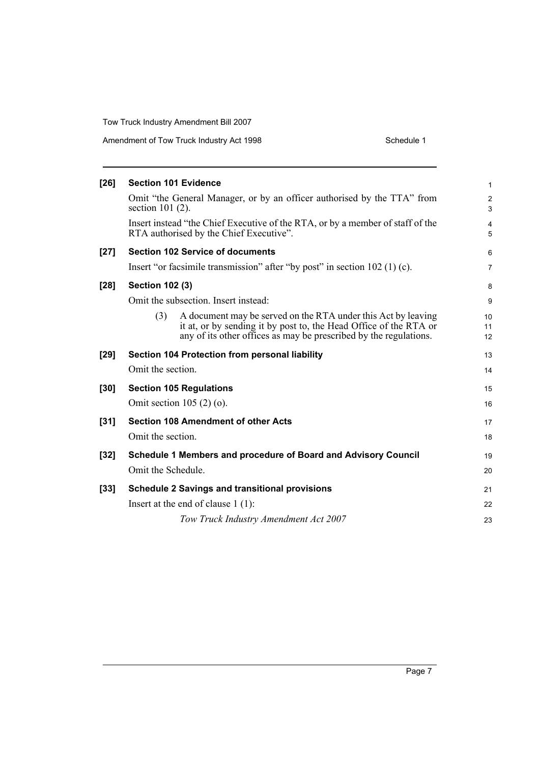Amendment of Tow Truck Industry Act 1998

| Schedule 1 |  |
|------------|--|

| $[26]$ |                        | <b>Section 101 Evidence</b>                                                                                                                                                                             | $\mathbf{1}$        |
|--------|------------------------|---------------------------------------------------------------------------------------------------------------------------------------------------------------------------------------------------------|---------------------|
|        | section $101(2)$ .     | Omit "the General Manager, or by an officer authorised by the TTA" from                                                                                                                                 | $\overline{2}$<br>3 |
|        |                        | Insert instead "the Chief Executive of the RTA, or by a member of staff of the<br>RTA authorised by the Chief Executive".                                                                               | 4<br>5              |
| $[27]$ |                        | <b>Section 102 Service of documents</b>                                                                                                                                                                 | 6                   |
|        |                        | Insert "or facsimile transmission" after "by post" in section $102$ (1) (c).                                                                                                                            | $\overline{7}$      |
| $[28]$ | <b>Section 102 (3)</b> |                                                                                                                                                                                                         | 8                   |
|        |                        | Omit the subsection. Insert instead:                                                                                                                                                                    | 9                   |
|        | (3)                    | A document may be served on the RTA under this Act by leaving<br>it at, or by sending it by post to, the Head Office of the RTA or<br>any of its other offices as may be prescribed by the regulations. | 10<br>11<br>12      |
| $[29]$ |                        | Section 104 Protection from personal liability                                                                                                                                                          | 13                  |
|        | Omit the section.      |                                                                                                                                                                                                         | 14                  |
| $[30]$ |                        | <b>Section 105 Regulations</b>                                                                                                                                                                          | 15                  |
|        |                        | Omit section $105(2)(o)$ .                                                                                                                                                                              | 16                  |
| $[31]$ |                        | <b>Section 108 Amendment of other Acts</b>                                                                                                                                                              | 17                  |
|        | Omit the section.      |                                                                                                                                                                                                         | 18                  |
| $[32]$ |                        | Schedule 1 Members and procedure of Board and Advisory Council                                                                                                                                          | 19                  |
|        | Omit the Schedule.     |                                                                                                                                                                                                         | 20                  |
| $[33]$ |                        | <b>Schedule 2 Savings and transitional provisions</b>                                                                                                                                                   | 21                  |
|        |                        | Insert at the end of clause $1(1)$ :                                                                                                                                                                    | 22                  |
|        |                        | Tow Truck Industry Amendment Act 2007                                                                                                                                                                   | 23                  |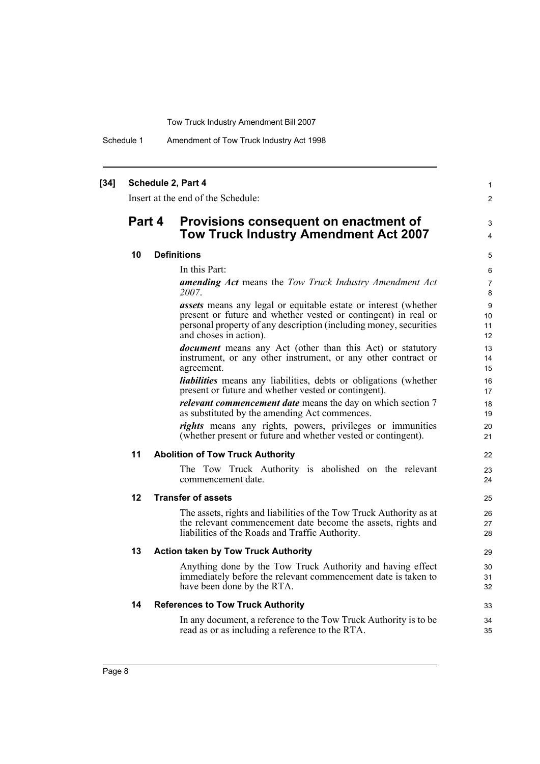Schedule 1 Amendment of Tow Truck Industry Act 1998

### **[34] Schedule 2, Part 4**

Insert at the end of the Schedule:

# **Part 4 Provisions consequent on enactment of Tow Truck Industry Amendment Act 2007**

## **10 Definitions**

In this Part:

*amending Act* means the *Tow Truck Industry Amendment Act 2007*.

1  $\mathfrak{p}$ 

3 4

22  $23$  $24$ 

33 34 35

*assets* means any legal or equitable estate or interest (whether present or future and whether vested or contingent) in real or personal property of any description (including money, securities and choses in action).

*document* means any Act (other than this Act) or statutory instrument, or any other instrument, or any other contract or agreement.

*liabilities* means any liabilities, debts or obligations (whether present or future and whether vested or contingent).

*relevant commencement date* means the day on which section 7 as substituted by the amending Act commences.

*rights* means any rights, powers, privileges or immunities (whether present or future and whether vested or contingent).

### **11 Abolition of Tow Truck Authority**

The Tow Truck Authority is abolished on the relevant commencement date.

### **12 Transfer of assets**

The assets, rights and liabilities of the Tow Truck Authority as at the relevant commencement date become the assets, rights and liabilities of the Roads and Traffic Authority.

#### **13 Action taken by Tow Truck Authority**

Anything done by the Tow Truck Authority and having effect immediately before the relevant commencement date is taken to have been done by the RTA.

#### **14 References to Tow Truck Authority**

In any document, a reference to the Tow Truck Authority is to be read as or as including a reference to the RTA.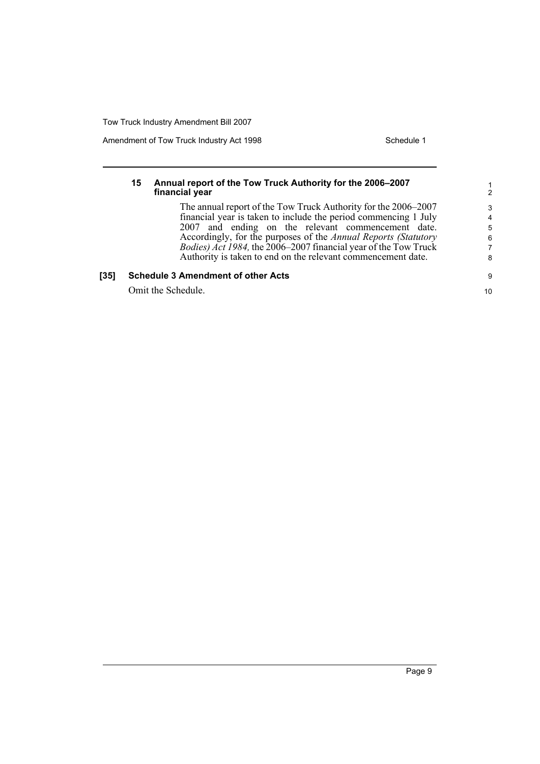Amendment of Tow Truck Industry Act 1998 Schedule 1

## **15 Annual report of the Tow Truck Authority for the 2006–2007 financial year**

The annual report of the Tow Truck Authority for the 2006–2007 financial year is taken to include the period commencing 1 July 2007 and ending on the relevant commencement date. Accordingly, for the purposes of the *Annual Reports (Statutory Bodies) Act 1984,* the 2006–2007 financial year of the Tow Truck Authority is taken to end on the relevant commencement date.

## **[35] Schedule 3 Amendment of other Acts**

Omit the Schedule.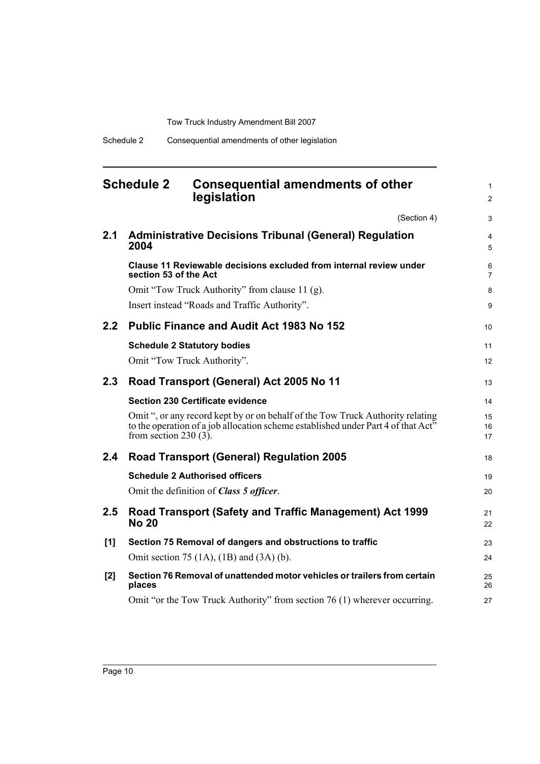# <span id="page-15-0"></span>**Schedule 2 Consequential amendments of other legislation**

(Section 4)

1 2

3

| 2.1 | <b>Administrative Decisions Tribunal (General) Regulation</b><br>2004                                                                                                                           | $\overline{4}$<br>5 |
|-----|-------------------------------------------------------------------------------------------------------------------------------------------------------------------------------------------------|---------------------|
|     | Clause 11 Reviewable decisions excluded from internal review under<br>section 53 of the Act                                                                                                     | 6<br>$\overline{7}$ |
|     | Omit "Tow Truck Authority" from clause 11 (g).                                                                                                                                                  | 8                   |
|     | Insert instead "Roads and Traffic Authority".                                                                                                                                                   | 9                   |
| 2.2 | <b>Public Finance and Audit Act 1983 No 152</b>                                                                                                                                                 | 10                  |
|     | <b>Schedule 2 Statutory bodies</b>                                                                                                                                                              | 11                  |
|     | Omit "Tow Truck Authority".                                                                                                                                                                     | 12                  |
| 2.3 | Road Transport (General) Act 2005 No 11                                                                                                                                                         | 13                  |
|     | <b>Section 230 Certificate evidence</b>                                                                                                                                                         | 14                  |
|     | Omit ", or any record kept by or on behalf of the Tow Truck Authority relating<br>to the operation of a job allocation scheme established under Part 4 of that Act"<br>from section 230 $(3)$ . | 15<br>16<br>17      |
| 2.4 | <b>Road Transport (General) Regulation 2005</b>                                                                                                                                                 | 18                  |
|     | <b>Schedule 2 Authorised officers</b>                                                                                                                                                           | 19                  |
|     | Omit the definition of Class 5 officer.                                                                                                                                                         | 20                  |
| 2.5 | Road Transport (Safety and Traffic Management) Act 1999<br><b>No 20</b>                                                                                                                         | 21<br>22            |
| [1] | Section 75 Removal of dangers and obstructions to traffic                                                                                                                                       | 23                  |
|     | Omit section 75 $(1A)$ , $(1B)$ and $(3A)$ $(b)$ .                                                                                                                                              | 24                  |
| [2] | Section 76 Removal of unattended motor vehicles or trailers from certain<br>places                                                                                                              | 25<br>26            |
|     | Omit "or the Tow Truck Authority" from section 76 (1) wherever occurring.                                                                                                                       | 27                  |